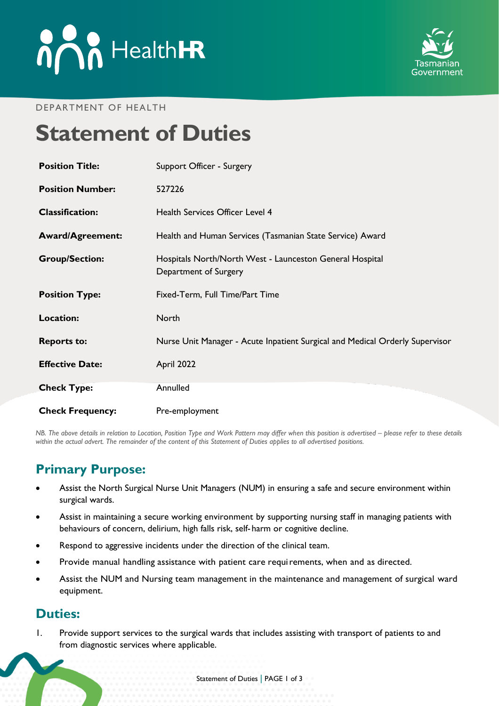



#### DEPARTMENT OF HEALTH

# **Statement of Duties**

| <b>Position Title:</b>  | Support Officer - Surgery                                                         |
|-------------------------|-----------------------------------------------------------------------------------|
| <b>Position Number:</b> | 527226                                                                            |
| <b>Classification:</b>  | Health Services Officer Level 4                                                   |
| <b>Award/Agreement:</b> | Health and Human Services (Tasmanian State Service) Award                         |
| <b>Group/Section:</b>   | Hospitals North/North West - Launceston General Hospital<br>Department of Surgery |
| <b>Position Type:</b>   | Fixed-Term, Full Time/Part Time                                                   |
| Location:               | North                                                                             |
| <b>Reports to:</b>      | Nurse Unit Manager - Acute Inpatient Surgical and Medical Orderly Supervisor      |
| <b>Effective Date:</b>  | April 2022                                                                        |
| <b>Check Type:</b>      | Annulled                                                                          |
| <b>Check Frequency:</b> | Pre-employment                                                                    |

*NB. The above details in relation to Location, Position Type and Work Pattern may differ when this position is advertised - please refer to these details within the actual advert. The remainder of the content of this Statement of Duties applies to all advertised positions.*

### **Primary Purpose:**

- Assist the North Surgical Nurse Unit Managers (NUM) in ensuring a safe and secure environment within surgical wards.
- Assist in maintaining a secure working environment by supporting nursing staff in managing patients with behaviours of concern, delirium, high falls risk, self-harm or cognitive decline.
- Respond to aggressive incidents under the direction of the clinical team.
- Provide manual handling assistance with patient care requirements, when and as directed.
- Assist the NUM and Nursing team management in the maintenance and management of surgical ward equipment.

#### **Duties:**

1. Provide support services to the surgical wards that includes assisting with transport of patients to and from diagnostic services where applicable.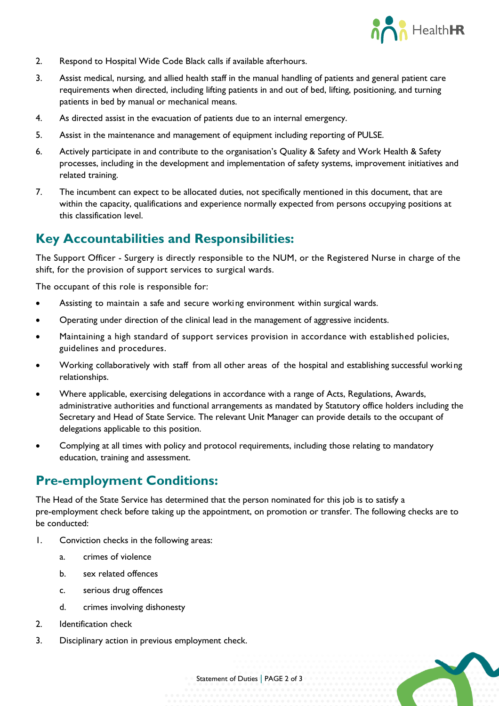

- 2. Respond to Hospital Wide Code Black calls if available afterhours.
- 3. Assist medical, nursing, and allied health staff in the manual handling of patients and general patient care requirements when directed, including lifting patients in and out of bed, lifting, positioning, and turning patients in bed by manual or mechanical means.
- 4. As directed assist in the evacuation of patients due to an internal emergency.
- 5. Assist in the maintenance and management of equipment including reporting of PULSE.
- 6. Actively participate in and contribute to the organisation's Quality & Safety and Work Health & Safety processes, including in the development and implementation of safety systems, improvement initiatives and related training.
- 7. The incumbent can expect to be allocated duties, not specifically mentioned in this document, that are within the capacity, qualifications and experience normally expected from persons occupying positions at this classification level.

### **Key Accountabilities and Responsibilities:**

The Support Officer - Surgery is directly responsible to the NUM, or the Registered Nurse in charge of the shift, for the provision of support services to surgical wards.

The occupant of this role is responsible for:

- Assisting to maintain a safe and secure working environment within surgical wards.
- Operating under direction of the clinical lead in the management of aggressive incidents.
- Maintaining a high standard of support services provision in accordance with established policies, guidelines and procedures.
- Working collaboratively with staff from all other areas of the hospital and establishing successful working relationships.
- Where applicable, exercising delegations in accordance with a range of Acts, Regulations, Awards, administrative authorities and functional arrangements as mandated by Statutory office holders including the Secretary and Head of State Service. The relevant Unit Manager can provide details to the occupant of delegations applicable to this position.
- Complying at all times with policy and protocol requirements, including those relating to mandatory education, training and assessment.

### **Pre-employment Conditions:**

The Head of the State Service has determined that the person nominated for this job is to satisfy a pre-employment check before taking up the appointment, on promotion or transfer. The following checks are to be conducted:

- 1. Conviction checks in the following areas:
	- a. crimes of violence
	- b. sex related offences
	- c. serious drug offences
	- d. crimes involving dishonesty
- 2. Identification check
- 3. Disciplinary action in previous employment check.